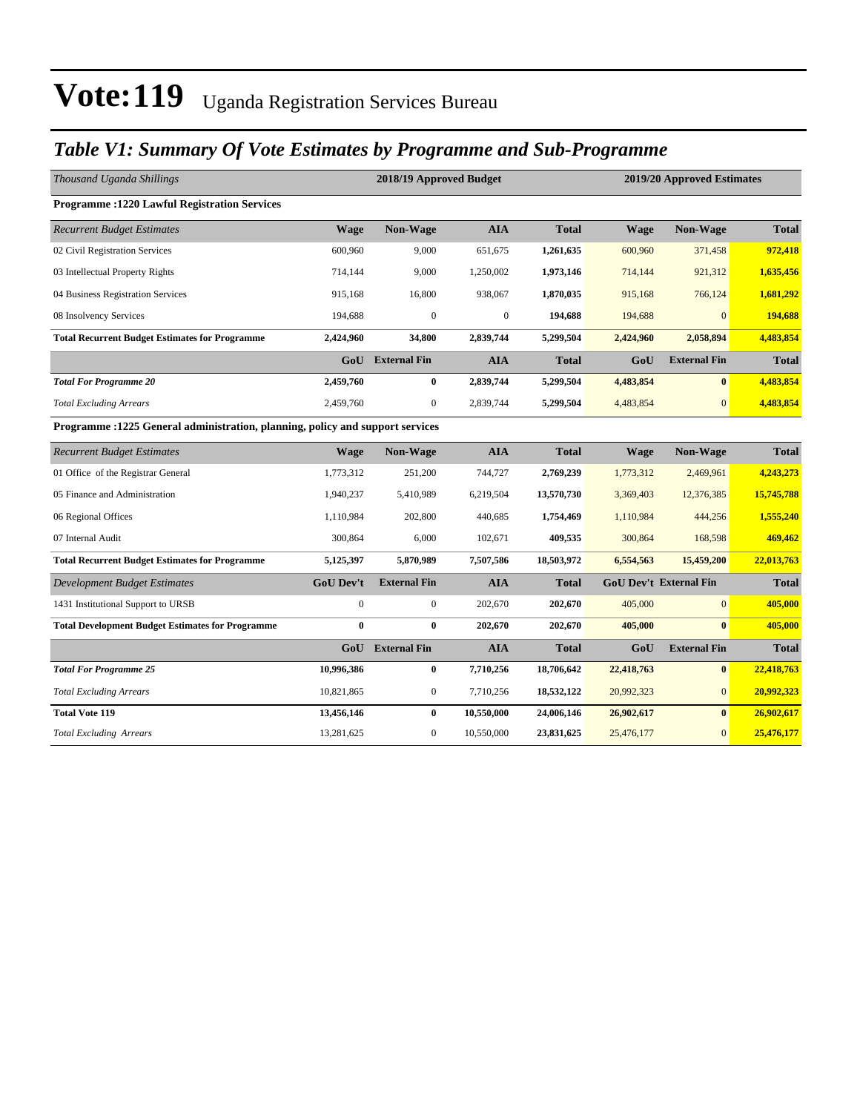## *Table V1: Summary Of Vote Estimates by Programme and Sub-Programme*

| Thousand Uganda Shillings                                                      |                  | 2018/19 Approved Budget |              |              |             | 2019/20 Approved Estimates    |              |
|--------------------------------------------------------------------------------|------------------|-------------------------|--------------|--------------|-------------|-------------------------------|--------------|
| <b>Programme :1220 Lawful Registration Services</b>                            |                  |                         |              |              |             |                               |              |
| <b>Recurrent Budget Estimates</b>                                              | <b>Wage</b>      | Non-Wage                | <b>AIA</b>   | <b>Total</b> | <b>Wage</b> | Non-Wage                      | <b>Total</b> |
| 02 Civil Registration Services                                                 | 600,960          | 9,000                   | 651,675      | 1,261,635    | 600,960     | 371,458                       | 972,418      |
| 03 Intellectual Property Rights                                                | 714,144          | 9,000                   | 1,250,002    | 1,973,146    | 714,144     | 921,312                       | 1,635,456    |
| 04 Business Registration Services                                              | 915,168          | 16,800                  | 938,067      | 1,870,035    | 915,168     | 766,124                       | 1,681,292    |
| 08 Insolvency Services                                                         | 194,688          | $\mathbf{0}$            | $\mathbf{0}$ | 194,688      | 194,688     | $\Omega$                      | 194,688      |
| <b>Total Recurrent Budget Estimates for Programme</b>                          | 2,424,960        | 34,800                  | 2,839,744    | 5,299,504    | 2,424,960   | 2,058,894                     | 4,483,854    |
|                                                                                |                  | <b>GoU</b> External Fin | <b>AIA</b>   | <b>Total</b> | GoU         | <b>External Fin</b>           | <b>Total</b> |
| <b>Total For Programme 20</b>                                                  | 2,459,760        | $\bf{0}$                | 2,839,744    | 5,299,504    | 4,483,854   | $\mathbf{0}$                  | 4,483,854    |
| <b>Total Excluding Arrears</b>                                                 | 2,459,760        | $\overline{0}$          | 2,839,744    | 5,299,504    | 4,483,854   | $\overline{0}$                | 4,483,854    |
| Programme : 1225 General administration, planning, policy and support services |                  |                         |              |              |             |                               |              |
| <b>Recurrent Budget Estimates</b>                                              | <b>Wage</b>      | Non-Wage                | <b>AIA</b>   | <b>Total</b> | Wage        | <b>Non-Wage</b>               | <b>Total</b> |
| 01 Office of the Registrar General                                             | 1,773,312        | 251,200                 | 744,727      | 2,769,239    | 1,773,312   | 2,469,961                     | 4,243,273    |
| 05 Finance and Administration                                                  | 1,940,237        | 5,410,989               | 6,219,504    | 13,570,730   | 3,369,403   | 12,376,385                    | 15,745,788   |
| 06 Regional Offices                                                            | 1,110,984        | 202,800                 | 440,685      | 1,754,469    | 1,110,984   | 444,256                       | 1,555,240    |
| 07 Internal Audit                                                              | 300,864          | 6,000                   | 102,671      | 409,535      | 300,864     | 168,598                       | 469,462      |
| <b>Total Recurrent Budget Estimates for Programme</b>                          | 5,125,397        | 5,870,989               | 7,507,586    | 18,503,972   | 6,554,563   | 15,459,200                    | 22,013,763   |
| <b>Development Budget Estimates</b>                                            | <b>GoU Dev't</b> | <b>External Fin</b>     | <b>AIA</b>   | <b>Total</b> |             | <b>GoU Dev't External Fin</b> | <b>Total</b> |
| 1431 Institutional Support to URSB                                             | $\boldsymbol{0}$ | $\boldsymbol{0}$        | 202,670      | 202,670      | 405,000     | $\overline{0}$                | 405,000      |
| <b>Total Development Budget Estimates for Programme</b>                        | $\bf{0}$         | $\bf{0}$                | 202,670      | 202,670      | 405,000     | $\bf{0}$                      | 405,000      |
|                                                                                | GoU              | <b>External Fin</b>     | <b>AIA</b>   | <b>Total</b> | GoU         | <b>External Fin</b>           | <b>Total</b> |
| <b>Total For Programme 25</b>                                                  | 10,996,386       | $\bf{0}$                | 7,710,256    | 18,706,642   | 22,418,763  | $\bf{0}$                      | 22,418,763   |
| <b>Total Excluding Arrears</b>                                                 | 10,821,865       | $\boldsymbol{0}$        | 7,710,256    | 18,532,122   | 20,992,323  | $\overline{0}$                | 20,992,323   |
| <b>Total Vote 119</b>                                                          | 13,456,146       | $\bf{0}$                | 10,550,000   | 24,006,146   | 26,902,617  | $\mathbf{0}$                  | 26,902,617   |
| <b>Total Excluding Arrears</b>                                                 | 13,281,625       | $\mathbf{0}$            | 10,550,000   | 23,831,625   | 25,476,177  | $\overline{0}$                | 25,476,177   |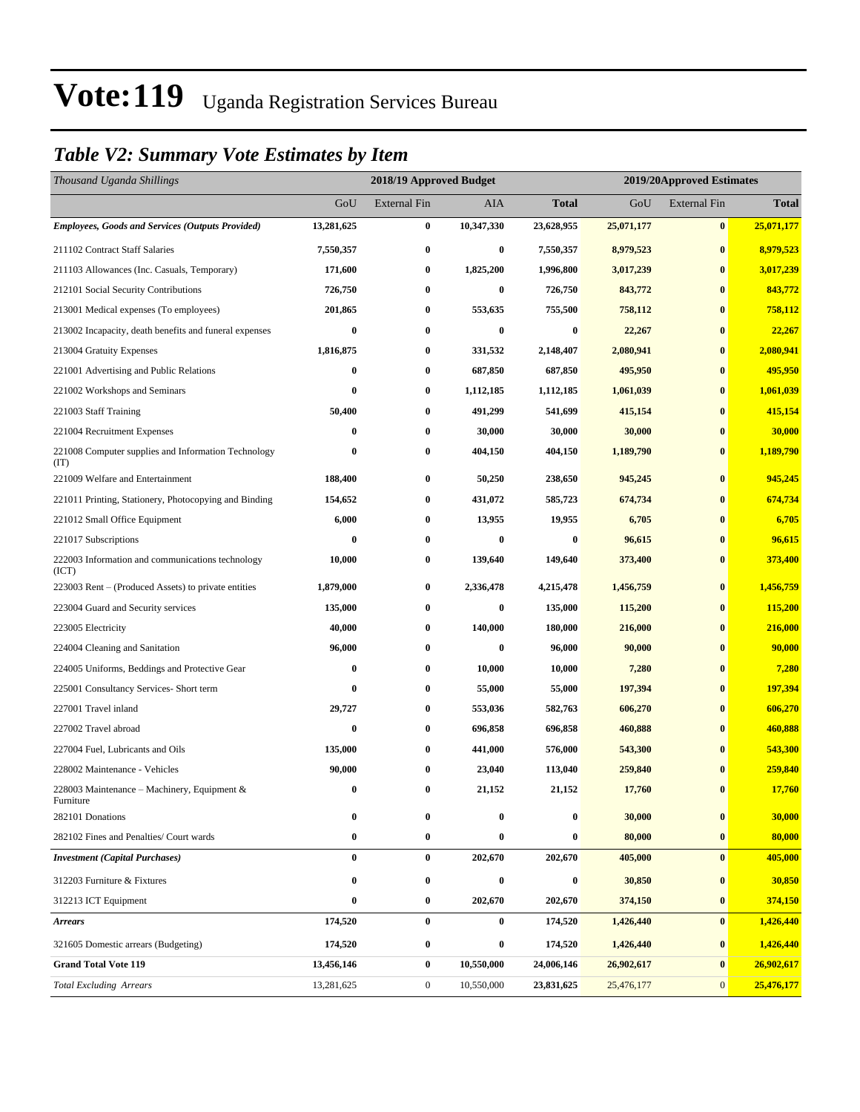## *Table V2: Summary Vote Estimates by Item*

| Thousand Uganda Shillings                                   |                  | 2018/19 Approved Budget |            |              | 2019/20Approved Estimates |                     |              |
|-------------------------------------------------------------|------------------|-------------------------|------------|--------------|---------------------------|---------------------|--------------|
|                                                             | GoU              | <b>External Fin</b>     | AIA        | <b>Total</b> | GoU                       | <b>External Fin</b> | <b>Total</b> |
| <b>Employees, Goods and Services (Outputs Provided)</b>     | 13,281,625       | 0                       | 10,347,330 | 23,628,955   | 25,071,177                | $\bf{0}$            | 25,071,177   |
| 211102 Contract Staff Salaries                              | 7,550,357        | 0                       | $\bf{0}$   | 7,550,357    | 8,979,523                 | $\bf{0}$            | 8,979,523    |
| 211103 Allowances (Inc. Casuals, Temporary)                 | 171,600          | $\bf{0}$                | 1,825,200  | 1,996,800    | 3,017,239                 | $\bf{0}$            | 3,017,239    |
| 212101 Social Security Contributions                        | 726,750          | $\bf{0}$                | $\bf{0}$   | 726,750      | 843,772                   | $\bf{0}$            | 843,772      |
| 213001 Medical expenses (To employees)                      | 201,865          | $\boldsymbol{0}$        | 553,635    | 755,500      | 758,112                   | $\bf{0}$            | 758,112      |
| 213002 Incapacity, death benefits and funeral expenses      | $\bf{0}$         | $\boldsymbol{0}$        | $\bf{0}$   | $\bf{0}$     | 22,267                    | $\bf{0}$            | 22,267       |
| 213004 Gratuity Expenses                                    | 1,816,875        | $\bf{0}$                | 331,532    | 2,148,407    | 2,080,941                 | $\bf{0}$            | 2,080,941    |
| 221001 Advertising and Public Relations                     | $\boldsymbol{0}$ | $\boldsymbol{0}$        | 687,850    | 687,850      | 495,950                   | $\bf{0}$            | 495,950      |
| 221002 Workshops and Seminars                               | 0                | $\bf{0}$                | 1,112,185  | 1,112,185    | 1,061,039                 | $\bf{0}$            | 1,061,039    |
| 221003 Staff Training                                       | 50,400           | $\boldsymbol{0}$        | 491,299    | 541,699      | 415,154                   | $\bf{0}$            | 415,154      |
| 221004 Recruitment Expenses                                 | 0                | $\boldsymbol{0}$        | 30,000     | 30,000       | 30,000                    | $\bf{0}$            | 30,000       |
| 221008 Computer supplies and Information Technology<br>(TT) | 0                | $\bf{0}$                | 404,150    | 404,150      | 1,189,790                 | $\bf{0}$            | 1,189,790    |
| 221009 Welfare and Entertainment                            | 188,400          | $\boldsymbol{0}$        | 50,250     | 238,650      | 945,245                   | $\bf{0}$            | 945,245      |
| 221011 Printing, Stationery, Photocopying and Binding       | 154,652          | $\boldsymbol{0}$        | 431,072    | 585,723      | 674,734                   | $\bf{0}$            | 674,734      |
| 221012 Small Office Equipment                               | 6,000            | $\bf{0}$                | 13,955     | 19,955       | 6,705                     | $\bf{0}$            | 6,705        |
| 221017 Subscriptions                                        | $\bf{0}$         | $\boldsymbol{0}$        | $\bf{0}$   | $\bf{0}$     | 96,615                    | $\bf{0}$            | 96,615       |
| 222003 Information and communications technology<br>(ICT)   | 10,000           | $\boldsymbol{0}$        | 139,640    | 149,640      | 373,400                   | $\bf{0}$            | 373,400      |
| 223003 Rent – (Produced Assets) to private entities         | 1,879,000        | $\boldsymbol{0}$        | 2,336,478  | 4,215,478    | 1,456,759                 | $\bf{0}$            | 1,456,759    |
| 223004 Guard and Security services                          | 135,000          | $\boldsymbol{0}$        | $\bf{0}$   | 135,000      | 115,200                   | $\bf{0}$            | 115,200      |
| 223005 Electricity                                          | 40,000           | $\bf{0}$                | 140,000    | 180,000      | 216,000                   | $\bf{0}$            | 216,000      |
| 224004 Cleaning and Sanitation                              | 96,000           | $\bf{0}$                | $\bf{0}$   | 96,000       | 90,000                    | $\bf{0}$            | 90,000       |
| 224005 Uniforms, Beddings and Protective Gear               | 0                | $\bf{0}$                | 10,000     | 10,000       | 7,280                     | $\bf{0}$            | 7,280        |
| 225001 Consultancy Services- Short term                     | $\bf{0}$         | $\boldsymbol{0}$        | 55,000     | 55,000       | 197,394                   | $\bf{0}$            | 197,394      |
| 227001 Travel inland                                        | 29,727           | 0                       | 553,036    | 582,763      | 606,270                   | $\bf{0}$            | 606,270      |
| 227002 Travel abroad                                        | 0                | $\boldsymbol{0}$        | 696,858    | 696,858      | 460,888                   | $\bf{0}$            | 460,888      |
| 227004 Fuel, Lubricants and Oils                            | 135,000          | $\boldsymbol{0}$        | 441,000    | 576,000      | 543,300                   | $\bf{0}$            | 543,300      |
| 228002 Maintenance - Vehicles                               | 90,000           | $\bf{0}$                | 23,040     | 113,040      | 259,840                   | $\bf{0}$            | 259,840      |
| 228003 Maintenance – Machinery, Equipment $\&$<br>Furniture | $\bf{0}$         | $\bf{0}$                | 21,152     | 21,152       | 17,760                    | $\bf{0}$            | 17,760       |
| 282101 Donations                                            | 0                | $\boldsymbol{0}$        | $\bf{0}$   | $\bf{0}$     | 30,000                    | $\pmb{0}$           | 30,000       |
| 282102 Fines and Penalties/ Court wards                     | $\bf{0}$         | $\bf{0}$                | $\bf{0}$   | 0            | 80,000                    | $\bf{0}$            | 80,000       |
| <b>Investment (Capital Purchases)</b>                       | $\bf{0}$         | $\bf{0}$                | 202,670    | 202,670      | 405,000                   | $\bf{0}$            | 405,000      |
| 312203 Furniture & Fixtures                                 | $\bf{0}$         | $\bf{0}$                | $\bf{0}$   | 0            | 30,850                    | $\bf{0}$            | 30,850       |
| 312213 ICT Equipment                                        | $\boldsymbol{0}$ | $\boldsymbol{0}$        | 202,670    | 202,670      | 374,150                   | $\bf{0}$            | 374,150      |
| <b>Arrears</b>                                              | 174,520          | $\bf{0}$                | $\bf{0}$   | 174,520      | 1,426,440                 | $\bf{0}$            | 1,426,440    |
| 321605 Domestic arrears (Budgeting)                         | 174,520          | $\bf{0}$                | $\bf{0}$   | 174,520      | 1,426,440                 | $\bf{0}$            | 1,426,440    |
| <b>Grand Total Vote 119</b>                                 | 13,456,146       | $\bf{0}$                | 10,550,000 | 24,006,146   | 26,902,617                | $\bf{0}$            | 26,902,617   |
| <b>Total Excluding Arrears</b>                              | 13,281,625       | $\boldsymbol{0}$        | 10,550,000 | 23,831,625   | 25,476,177                | $\mathbf{0}$        | 25,476,177   |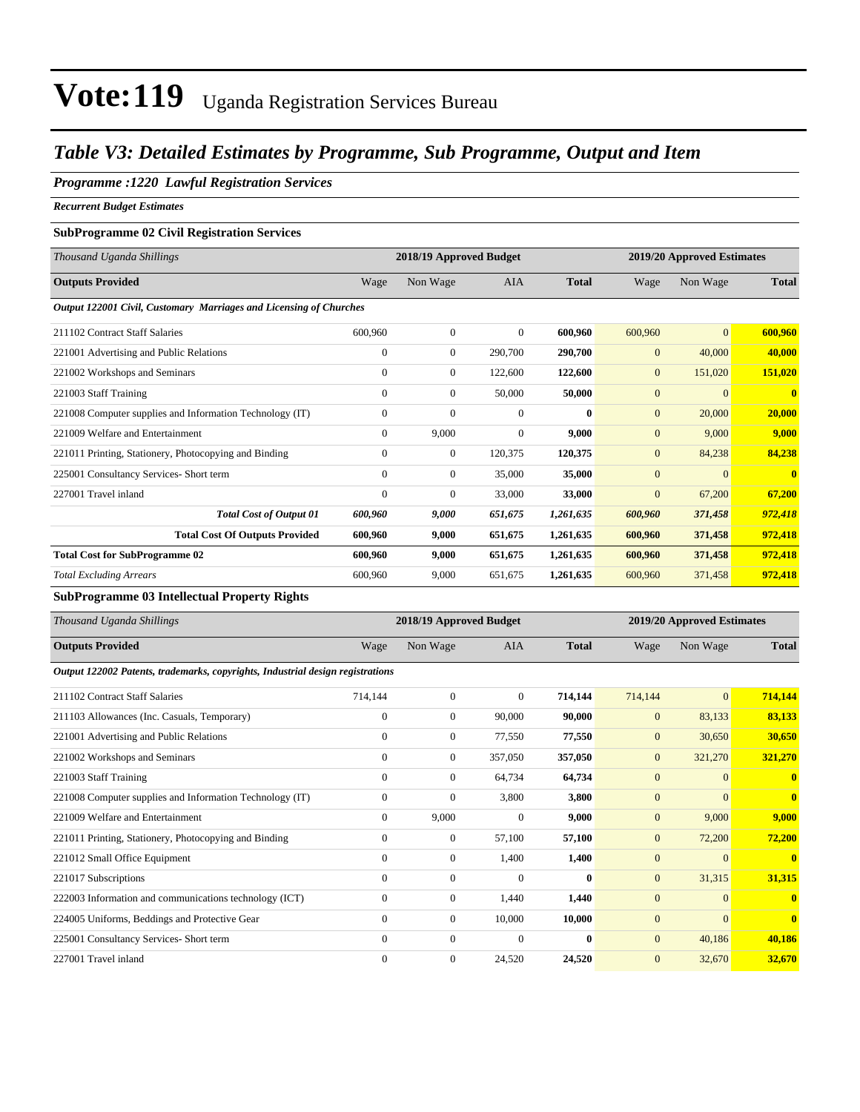## *Table V3: Detailed Estimates by Programme, Sub Programme, Output and Item*

#### *Programme :1220 Lawful Registration Services*

*Recurrent Budget Estimates*

#### **SubProgramme 02 Civil Registration Services**

| Thousand Uganda Shillings                                          |              | 2018/19 Approved Budget |                |              |                | 2019/20 Approved Estimates |                         |
|--------------------------------------------------------------------|--------------|-------------------------|----------------|--------------|----------------|----------------------------|-------------------------|
| <b>Outputs Provided</b>                                            | Wage         | Non Wage                | <b>AIA</b>     | <b>Total</b> | Wage           | Non Wage                   | <b>Total</b>            |
| Output 122001 Civil, Customary Marriages and Licensing of Churches |              |                         |                |              |                |                            |                         |
| 211102 Contract Staff Salaries                                     | 600,960      | $\mathbf{0}$            | $\overline{0}$ | 600,960      | 600,960        | $\overline{0}$             | 600,960                 |
| 221001 Advertising and Public Relations                            | $\mathbf{0}$ | $\mathbf{0}$            | 290,700        | 290,700      | $\mathbf{0}$   | 40,000                     | 40,000                  |
| 221002 Workshops and Seminars                                      | $\mathbf{0}$ | $\overline{0}$          | 122,600        | 122,600      | $\mathbf{0}$   | 151,020                    | 151,020                 |
| 221003 Staff Training                                              | $\mathbf{0}$ | $\mathbf{0}$            | 50,000         | 50,000       | $\overline{0}$ | $\overline{0}$             | $\overline{\mathbf{0}}$ |
| 221008 Computer supplies and Information Technology (IT)           | $\mathbf{0}$ | $\overline{0}$          | $\mathbf{0}$   | $\bf{0}$     | $\overline{0}$ | 20,000                     | 20,000                  |
| 221009 Welfare and Entertainment                                   | $\mathbf{0}$ | 9,000                   | $\mathbf{0}$   | 9,000        | $\mathbf{0}$   | 9,000                      | 9,000                   |
| 221011 Printing, Stationery, Photocopying and Binding              | $\mathbf{0}$ | $\boldsymbol{0}$        | 120,375        | 120,375      | $\mathbf{0}$   | 84,238                     | 84,238                  |
| 225001 Consultancy Services- Short term                            | $\Omega$     | $\mathbf{0}$            | 35,000         | 35,000       | $\mathbf{0}$   | $\Omega$                   | $\mathbf{0}$            |
| 227001 Travel inland                                               | $\Omega$     | $\overline{0}$          | 33,000         | 33,000       | $\overline{0}$ | 67,200                     | 67,200                  |
| <b>Total Cost of Output 01</b>                                     | 600,960      | 9,000                   | 651,675        | 1,261,635    | 600,960        | 371,458                    | 972,418                 |
| <b>Total Cost Of Outputs Provided</b>                              | 600,960      | 9,000                   | 651,675        | 1,261,635    | 600,960        | 371,458                    | 972,418                 |
| <b>Total Cost for SubProgramme 02</b>                              | 600,960      | 9,000                   | 651,675        | 1,261,635    | 600,960        | 371,458                    | 972,418                 |
| <b>Total Excluding Arrears</b>                                     | 600,960      | 9.000                   | 651,675        | 1,261,635    | 600,960        | 371,458                    | 972,418                 |

### **SubProgramme 03 Intellectual Property Rights**

| Thousand Uganda Shillings                                                      |              | 2018/19 Approved Budget |              |              | 2019/20 Approved Estimates |              |              |  |
|--------------------------------------------------------------------------------|--------------|-------------------------|--------------|--------------|----------------------------|--------------|--------------|--|
| <b>Outputs Provided</b>                                                        | Wage         | Non Wage                | <b>AIA</b>   | <b>Total</b> | Wage                       | Non Wage     | <b>Total</b> |  |
| Output 122002 Patents, trademarks, copyrights, Industrial design registrations |              |                         |              |              |                            |              |              |  |
| 211102 Contract Staff Salaries                                                 | 714,144      | $\overline{0}$          | $\mathbf{0}$ | 714,144      | 714,144                    | $\mathbf{0}$ | 714,144      |  |
| 211103 Allowances (Inc. Casuals, Temporary)                                    | $\mathbf{0}$ | $\overline{0}$          | 90,000       | 90,000       | $\mathbf{0}$               | 83,133       | 83,133       |  |
| 221001 Advertising and Public Relations                                        | $\mathbf{0}$ | $\overline{0}$          | 77,550       | 77,550       | $\mathbf{0}$               | 30,650       | 30,650       |  |
| 221002 Workshops and Seminars                                                  | $\mathbf{0}$ | $\overline{0}$          | 357,050      | 357,050      | $\mathbf{0}$               | 321,270      | 321,270      |  |
| 221003 Staff Training                                                          | $\Omega$     | $\overline{0}$          | 64,734       | 64,734       | $\overline{0}$             | $\Omega$     | $\bf{0}$     |  |
| 221008 Computer supplies and Information Technology (IT)                       | $\mathbf{0}$ | 0                       | 3,800        | 3,800        | $\overline{0}$             | $\Omega$     | $\bf{0}$     |  |
| 221009 Welfare and Entertainment                                               | $\theta$     | 9,000                   | $\Omega$     | 9,000        | $\mathbf{0}$               | 9,000        | 9,000        |  |
| 221011 Printing, Stationery, Photocopying and Binding                          | $\mathbf{0}$ | 0                       | 57,100       | 57,100       | $\mathbf{0}$               | 72,200       | 72,200       |  |
| 221012 Small Office Equipment                                                  | $\Omega$     | $\overline{0}$          | 1,400        | 1,400        | $\overline{0}$             | $\Omega$     | $\mathbf{0}$ |  |
| 221017 Subscriptions                                                           | $\Omega$     | $\mathbf{0}$            | $\Omega$     | $\mathbf{0}$ | $\mathbf{0}$               | 31,315       | 31,315       |  |
| 222003 Information and communications technology (ICT)                         | $\Omega$     | 0                       | 1.440        | 1,440        | $\overline{0}$             | $\Omega$     | $\bf{0}$     |  |
| 224005 Uniforms, Beddings and Protective Gear                                  | $\Omega$     | $\overline{0}$          | 10,000       | 10,000       | $\overline{0}$             | $\Omega$     | $\mathbf{0}$ |  |
| 225001 Consultancy Services- Short term                                        | $\Omega$     | $\overline{0}$          | $\Omega$     | $\mathbf{0}$ | $\overline{0}$             | 40,186       | 40,186       |  |
| 227001 Travel inland                                                           | $\mathbf{0}$ | $\mathbf{0}$            | 24,520       | 24,520       | $\overline{0}$             | 32,670       | 32,670       |  |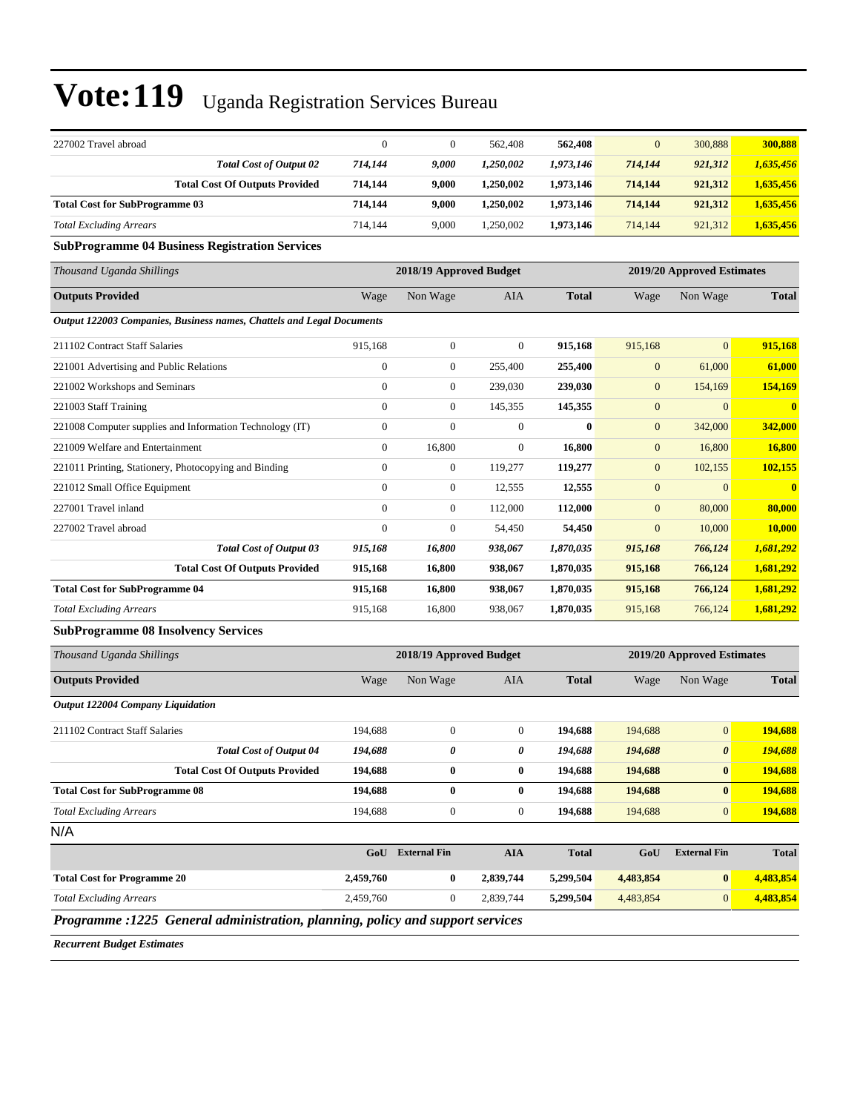| 227002 Travel abroad                  | $\Omega$ |       | 562,408   | 562,408   | $\overline{0}$ | 300,888 | 300,888   |
|---------------------------------------|----------|-------|-----------|-----------|----------------|---------|-----------|
| <b>Total Cost of Output 02</b>        | 714.144  | 9.000 | 1.250.002 | 1,973,146 | 714,144        | 921,312 | 1,635,456 |
| <b>Total Cost Of Outputs Provided</b> | 714.144  | 9.000 | 1.250.002 | 1,973,146 | 714.144        | 921.312 | 1,635,456 |
| <b>Total Cost for SubProgramme 03</b> | 714.144  | 9.000 | 1.250.002 | 1,973,146 | 714.144        | 921.312 | 1,635,456 |
| <b>Total Excluding Arrears</b>        | 714.144  | 9.000 | 1.250.002 | 1,973,146 | 714,144        | 921,312 | 1,635,456 |

#### **SubProgramme 04 Business Registration Services**

| Thousand Uganda Shillings                                             |                | 2018/19 Approved Budget |                |              |                | 2019/20 Approved Estimates |                         |
|-----------------------------------------------------------------------|----------------|-------------------------|----------------|--------------|----------------|----------------------------|-------------------------|
| <b>Outputs Provided</b>                                               | Wage           | Non Wage                | <b>AIA</b>     | <b>Total</b> | Wage           | Non Wage                   | <b>Total</b>            |
| Output 122003 Companies, Business names, Chattels and Legal Documents |                |                         |                |              |                |                            |                         |
| 211102 Contract Staff Salaries                                        | 915,168        | $\overline{0}$          | $\overline{0}$ | 915,168      | 915,168        | $\overline{0}$             | 915,168                 |
| 221001 Advertising and Public Relations                               | $\mathbf{0}$   | $\overline{0}$          | 255,400        | 255,400      | $\mathbf{0}$   | 61,000                     | 61,000                  |
| 221002 Workshops and Seminars                                         | $\mathbf{0}$   | $\overline{0}$          | 239,030        | 239,030      | $\overline{0}$ | 154,169                    | 154,169                 |
| 221003 Staff Training                                                 | $\overline{0}$ | $\overline{0}$          | 145,355        | 145,355      | $\mathbf{0}$   | $\overline{0}$             | $\overline{\mathbf{0}}$ |
| 221008 Computer supplies and Information Technology (IT)              | $\overline{0}$ | $\mathbf{0}$            | $\mathbf{0}$   | $\bf{0}$     | $\mathbf{0}$   | 342,000                    | 342,000                 |
| 221009 Welfare and Entertainment                                      | $\overline{0}$ | 16,800                  | $\mathbf{0}$   | 16,800       | $\mathbf{0}$   | 16,800                     | 16,800                  |
| 221011 Printing, Stationery, Photocopying and Binding                 | 0              | $\boldsymbol{0}$        | 119,277        | 119,277      | $\mathbf{0}$   | 102,155                    | 102,155                 |
| 221012 Small Office Equipment                                         | $\mathbf{0}$   | $\boldsymbol{0}$        | 12,555         | 12,555       | $\mathbf{0}$   | $\overline{0}$             | $\overline{\mathbf{0}}$ |
| 227001 Travel inland                                                  | $\mathbf{0}$   | $\overline{0}$          | 112,000        | 112,000      | $\mathbf{0}$   | 80,000                     | 80,000                  |
| 227002 Travel abroad                                                  | $\mathbf{0}$   | $\boldsymbol{0}$        | 54,450         | 54,450       | $\mathbf{0}$   | 10,000                     | 10,000                  |
| <b>Total Cost of Output 03</b>                                        | 915,168        | 16,800                  | 938,067        | 1,870,035    | 915,168        | 766,124                    | 1,681,292               |
| <b>Total Cost Of Outputs Provided</b>                                 | 915,168        | 16,800                  | 938,067        | 1,870,035    | 915,168        | 766,124                    | 1,681,292               |
| <b>Total Cost for SubProgramme 04</b>                                 | 915,168        | 16,800                  | 938,067        | 1,870,035    | 915,168        | 766,124                    | 1,681,292               |
| <b>Total Excluding Arrears</b>                                        | 915,168        | 16,800                  | 938,067        | 1,870,035    | 915,168        | 766,124                    | 1,681,292               |
| <b>SubProgramme 08 Insolvency Services</b>                            |                |                         |                |              |                |                            |                         |

### *Thousand Uganda Shillings* **2018/19 Approved Budget 2019/20 Approved Estimates Outputs Provided** Wage Non Wage AIA **Total** Wage Non Wage **Total** *Output 122004 Company Liquidation* 211102 Contract Staff Salaries 194,688 0 0 **194,688** 194,688 0 **194,688** *Total Cost of Output 04 194,688 0 0 194,688 194,688 0 194,688* **Total Cost Of Outputs Provided 194,688 0 0 194,688 194,688 0 194,688 Total Cost for SubProgramme 08 194,688 0 0 194,688 194,688 0 194,688** *Total Excluding Arrears* 194,688 0 0 **194,688** 194,688 0 **194,688** N/A **GoU External Fin AIA Total GoU External Fin Total Total Cost for Programme 20 2,459,760 0 2,839,744 5,299,504 4,483,854 0 4,483,854** *Total Excluding Arrears* 2,459,760 0 2,839,744 **5,299,504** 4,483,854 0 **4,483,854**

*Programme :1225 General administration, planning, policy and support services*

*Recurrent Budget Estimates*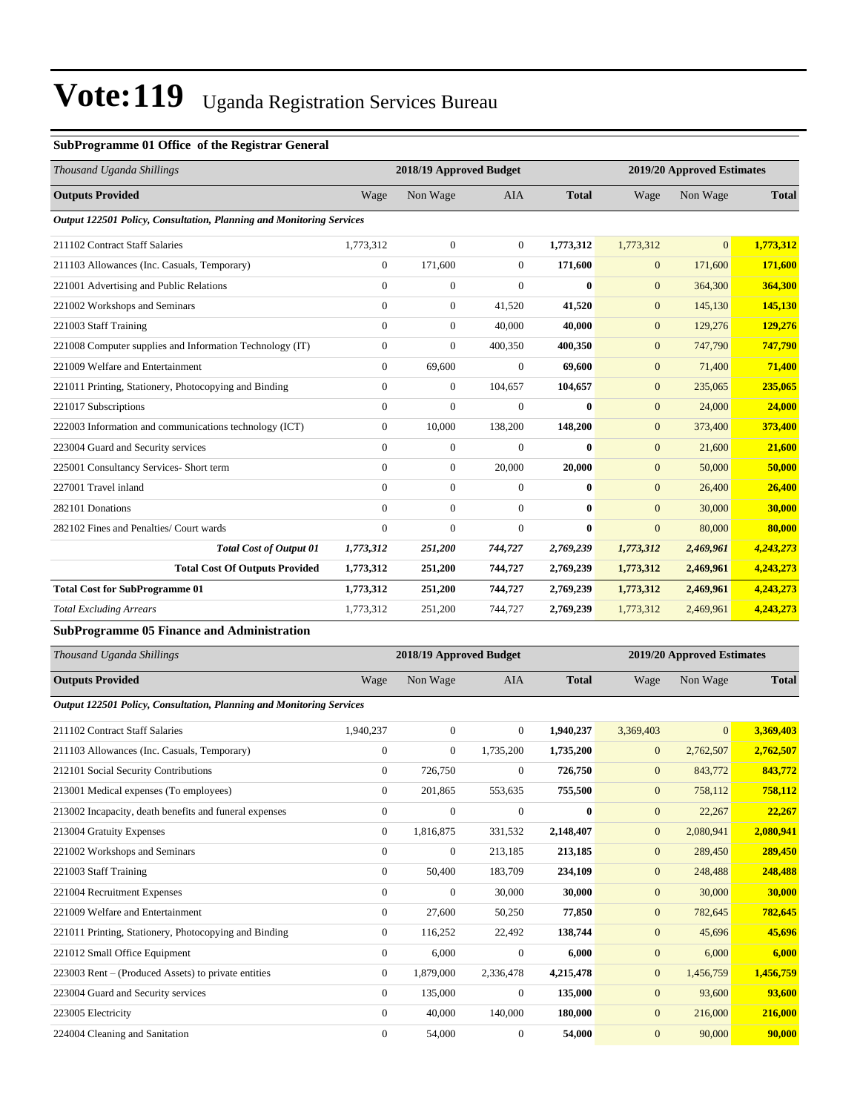### **SubProgramme 01 Office of the Registrar General**

| Thousand Uganda Shillings                                            |                  | 2018/19 Approved Budget |                |              |                  | 2019/20 Approved Estimates |              |
|----------------------------------------------------------------------|------------------|-------------------------|----------------|--------------|------------------|----------------------------|--------------|
| <b>Outputs Provided</b>                                              | Wage             | Non Wage                | <b>AIA</b>     | <b>Total</b> | Wage             | Non Wage                   | <b>Total</b> |
| Output 122501 Policy, Consultation, Planning and Monitoring Services |                  |                         |                |              |                  |                            |              |
| 211102 Contract Staff Salaries                                       | 1,773,312        | $\boldsymbol{0}$        | $\overline{0}$ | 1,773,312    | 1,773,312        | $\overline{0}$             | 1,773,312    |
| 211103 Allowances (Inc. Casuals, Temporary)                          | $\overline{0}$   | 171,600                 | $\Omega$       | 171,600      | $\mathbf{0}$     | 171,600                    | 171,600      |
| 221001 Advertising and Public Relations                              | $\overline{0}$   | $\boldsymbol{0}$        | $\overline{0}$ | $\bf{0}$     | $\mathbf{0}$     | 364,300                    | 364,300      |
| 221002 Workshops and Seminars                                        | $\overline{0}$   | $\boldsymbol{0}$        | 41,520         | 41,520       | $\mathbf{0}$     | 145,130                    | 145,130      |
| 221003 Staff Training                                                | $\overline{0}$   | $\mathbf{0}$            | 40.000         | 40.000       | $\mathbf{0}$     | 129,276                    | 129,276      |
| 221008 Computer supplies and Information Technology (IT)             | $\overline{0}$   | $\mathbf{0}$            | 400,350        | 400,350      | $\mathbf{0}$     | 747,790                    | 747,790      |
| 221009 Welfare and Entertainment                                     | $\overline{0}$   | 69,600                  | $\overline{0}$ | 69.600       | $\mathbf{0}$     | 71,400                     | 71,400       |
| 221011 Printing, Stationery, Photocopying and Binding                | $\overline{0}$   | $\boldsymbol{0}$        | 104,657        | 104,657      | $\boldsymbol{0}$ | 235,065                    | 235,065      |
| 221017 Subscriptions                                                 | $\overline{0}$   | $\overline{0}$          | $\Omega$       | $\mathbf{0}$ | $\overline{0}$   | 24,000                     | 24,000       |
| 222003 Information and communications technology (ICT)               | $\boldsymbol{0}$ | 10,000                  | 138,200        | 148,200      | $\boldsymbol{0}$ | 373,400                    | 373,400      |
| 223004 Guard and Security services                                   | $\Omega$         | $\mathbf{0}$            | $\Omega$       | $\mathbf{0}$ | $\mathbf{0}$     | 21,600                     | 21,600       |
| 225001 Consultancy Services- Short term                              | $\overline{0}$   | $\mathbf{0}$            | 20,000         | 20.000       | $\mathbf{0}$     | 50,000                     | 50,000       |
| 227001 Travel inland                                                 | $\Omega$         | $\mathbf{0}$            | $\Omega$       | $\mathbf{0}$ | $\overline{0}$   | 26,400                     | 26,400       |
| 282101 Donations                                                     | $\Omega$         | $\mathbf{0}$            | $\Omega$       | $\mathbf{0}$ | $\Omega$         | 30,000                     | 30,000       |
| 282102 Fines and Penalties/ Court wards                              | $\overline{0}$   | $\mathbf{0}$            | $\overline{0}$ | $\bf{0}$     | $\overline{0}$   | 80,000                     | 80,000       |
| <b>Total Cost of Output 01</b>                                       | 1,773,312        | 251,200                 | 744,727        | 2,769,239    | 1,773,312        | 2,469,961                  | 4,243,273    |
| <b>Total Cost Of Outputs Provided</b>                                | 1,773,312        | 251,200                 | 744,727        | 2,769,239    | 1,773,312        | 2,469,961                  | 4,243,273    |
| <b>Total Cost for SubProgramme 01</b>                                | 1,773,312        | 251,200                 | 744,727        | 2,769,239    | 1,773,312        | 2,469,961                  | 4,243,273    |
| <b>Total Excluding Arrears</b>                                       | 1,773,312        | 251,200                 | 744,727        | 2,769,239    | 1,773,312        | 2,469,961                  | 4,243,273    |
| <b>SubProgramme 05 Finance and Administration</b>                    |                  |                         |                |              |                  |                            |              |

| Thousand Uganda Shillings                                            |                | 2018/19 Approved Budget |                |              |                  | 2019/20 Approved Estimates |              |
|----------------------------------------------------------------------|----------------|-------------------------|----------------|--------------|------------------|----------------------------|--------------|
|                                                                      |                |                         |                |              |                  |                            |              |
| <b>Outputs Provided</b>                                              | Wage           | Non Wage                | <b>AIA</b>     | <b>Total</b> | Wage             | Non Wage                   | <b>Total</b> |
| Output 122501 Policy, Consultation, Planning and Monitoring Services |                |                         |                |              |                  |                            |              |
| 211102 Contract Staff Salaries                                       | 1,940,237      | $\overline{0}$          | $\overline{0}$ | 1,940,237    | 3,369,403        | $\overline{0}$             | 3,369,403    |
| 211103 Allowances (Inc. Casuals, Temporary)                          | $\overline{0}$ | $\mathbf{0}$            | 1,735,200      | 1,735,200    | $\mathbf{0}$     | 2,762,507                  | 2,762,507    |
| 212101 Social Security Contributions                                 | $\overline{0}$ | 726,750                 | $\mathbf{0}$   | 726,750      | $\overline{0}$   | 843,772                    | 843,772      |
| 213001 Medical expenses (To employees)                               | $\mathbf{0}$   | 201,865                 | 553,635        | 755,500      | $\mathbf{0}$     | 758,112                    | 758,112      |
| 213002 Incapacity, death benefits and funeral expenses               | $\mathbf{0}$   | $\overline{0}$          | $\mathbf{0}$   | $\mathbf{0}$ | $\mathbf{0}$     | 22,267                     | 22,267       |
| 213004 Gratuity Expenses                                             | $\overline{0}$ | 1,816,875               | 331,532        | 2,148,407    | $\mathbf{0}$     | 2,080,941                  | 2,080,941    |
| 221002 Workshops and Seminars                                        | $\overline{0}$ | $\mathbf{0}$            | 213,185        | 213,185      | $\overline{0}$   | 289,450                    | 289,450      |
| 221003 Staff Training                                                | $\overline{0}$ | 50,400                  | 183,709        | 234,109      | $\overline{0}$   | 248,488                    | 248,488      |
| 221004 Recruitment Expenses                                          | $\Omega$       | $\Omega$                | 30,000         | 30,000       | $\mathbf{0}$     | 30,000                     | 30,000       |
| 221009 Welfare and Entertainment                                     | $\mathbf{0}$   | 27,600                  | 50,250         | 77,850       | $\overline{0}$   | 782,645                    | 782,645      |
| 221011 Printing, Stationery, Photocopying and Binding                | $\overline{0}$ | 116,252                 | 22,492         | 138,744      | $\overline{0}$   | 45,696                     | 45,696       |
| 221012 Small Office Equipment                                        | $\mathbf{0}$   | 6,000                   | $\Omega$       | 6,000        | $\mathbf{0}$     | 6,000                      | 6,000        |
| 223003 Rent – (Produced Assets) to private entities                  | $\mathbf{0}$   | 1,879,000               | 2,336,478      | 4,215,478    | $\overline{0}$   | 1,456,759                  | 1,456,759    |
| 223004 Guard and Security services                                   | $\mathbf{0}$   | 135,000                 | $\mathbf{0}$   | 135,000      | $\boldsymbol{0}$ | 93,600                     | 93,600       |
| 223005 Electricity                                                   | $\mathbf{0}$   | 40,000                  | 140,000        | 180,000      | $\boldsymbol{0}$ | 216,000                    | 216,000      |
| 224004 Cleaning and Sanitation                                       | $\mathbf{0}$   | 54,000                  | $\Omega$       | 54,000       | $\boldsymbol{0}$ | 90,000                     | 90,000       |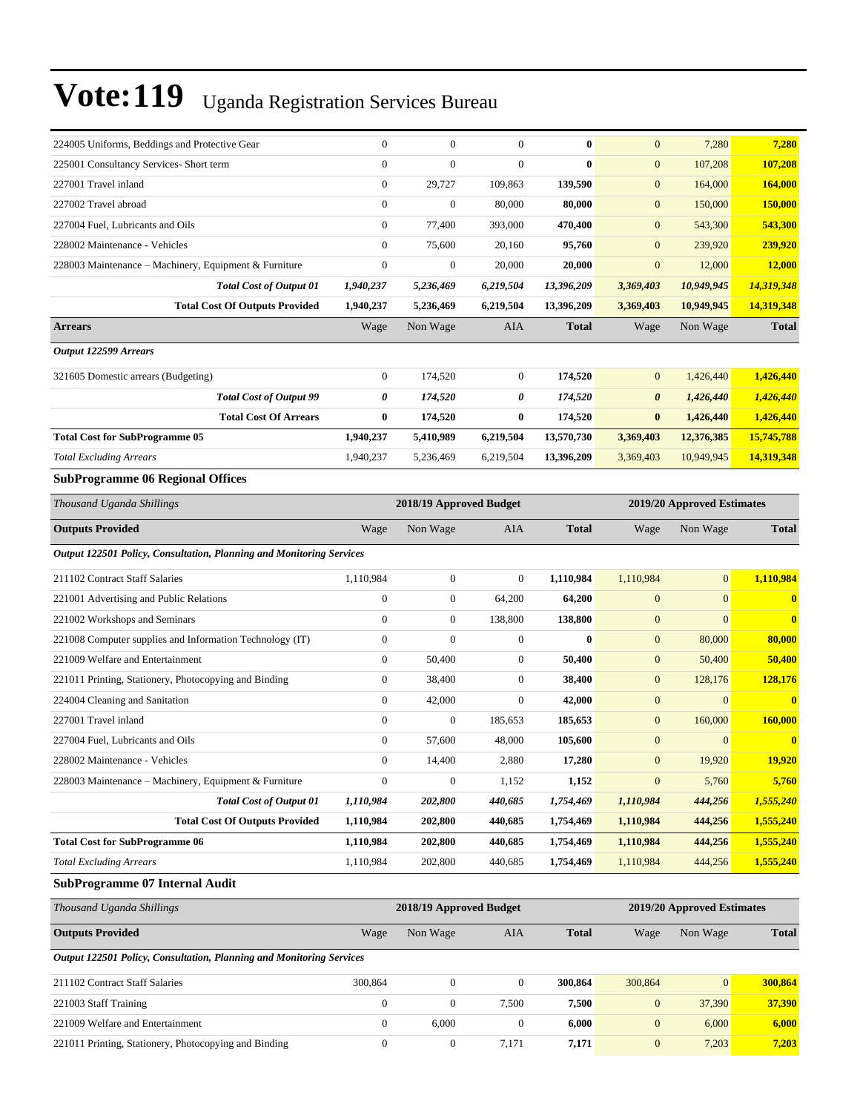| 224005 Uniforms, Beddings and Protective Gear                        | $\boldsymbol{0}$ | $\mathbf{0}$            | $\theta$         | $\bf{0}$                   | $\overline{0}$   | 7,280                      | 7,280          |
|----------------------------------------------------------------------|------------------|-------------------------|------------------|----------------------------|------------------|----------------------------|----------------|
| 225001 Consultancy Services- Short term                              | $\overline{0}$   | $\mathbf{0}$            | $\theta$         | $\bf{0}$                   | $\boldsymbol{0}$ | 107,208                    | 107,208        |
| 227001 Travel inland                                                 | $\boldsymbol{0}$ | 29,727                  | 109,863          | 139,590                    | $\mathbf{0}$     | 164,000                    | 164,000        |
| 227002 Travel abroad                                                 | $\boldsymbol{0}$ | $\boldsymbol{0}$        | 80,000           | 80,000                     | $\mathbf{0}$     | 150,000                    | 150,000        |
| 227004 Fuel, Lubricants and Oils                                     | $\boldsymbol{0}$ | 77,400                  | 393,000          | 470,400                    | $\overline{0}$   | 543,300                    | 543,300        |
| 228002 Maintenance - Vehicles                                        | $\overline{0}$   | 75,600                  | 20,160           | 95,760                     | $\overline{0}$   | 239,920                    | 239,920        |
| 228003 Maintenance – Machinery, Equipment & Furniture                | $\boldsymbol{0}$ | $\boldsymbol{0}$        | 20,000           | 20,000                     | $\boldsymbol{0}$ | 12,000                     | 12,000         |
| Total Cost of Output 01                                              | 1,940,237        | 5,236,469               | 6,219,504        | 13,396,209                 | 3,369,403        | 10,949,945                 | 14,319,348     |
| <b>Total Cost Of Outputs Provided</b>                                | 1,940,237        | 5,236,469               | 6,219,504        | 13,396,209                 | 3,369,403        | 10,949,945                 | 14,319,348     |
| Arrears                                                              | Wage             | Non Wage                | AIA              | <b>Total</b>               | Wage             | Non Wage                   | <b>Total</b>   |
| Output 122599 Arrears                                                |                  |                         |                  |                            |                  |                            |                |
| 321605 Domestic arrears (Budgeting)                                  | $\boldsymbol{0}$ | 174,520                 | $\boldsymbol{0}$ | 174,520                    | $\overline{0}$   | 1,426,440                  | 1,426,440      |
| <b>Total Cost of Output 99</b>                                       | 0                | 174,520                 | 0                | 174,520                    | 0                | 1,426,440                  | 1,426,440      |
| <b>Total Cost Of Arrears</b>                                         | 0                | 174,520                 | $\bf{0}$         | 174,520                    | $\bf{0}$         | 1,426,440                  | 1,426,440      |
| <b>Total Cost for SubProgramme 05</b>                                | 1,940,237        | 5,410,989               | 6,219,504        | 13,570,730                 | 3,369,403        | 12,376,385                 | 15,745,788     |
| <b>Total Excluding Arrears</b>                                       | 1,940,237        | 5,236,469               | 6,219,504        | 13,396,209                 | 3,369,403        | 10,949,945                 | 14,319,348     |
| <b>SubProgramme 06 Regional Offices</b>                              |                  |                         |                  |                            |                  |                            |                |
| Thousand Uganda Shillings                                            |                  | 2018/19 Approved Budget |                  | 2019/20 Approved Estimates |                  |                            |                |
| <b>Outputs Provided</b>                                              | Wage             | Non Wage                | AIA              | <b>Total</b>               | Wage             | Non Wage                   | <b>Total</b>   |
| Output 122501 Policy, Consultation, Planning and Monitoring Services |                  |                         |                  |                            |                  |                            |                |
| 211102 Contract Staff Salaries                                       | 1,110,984        | $\boldsymbol{0}$        | $\theta$         | 1,110,984                  | 1,110,984        | $\mathbf{0}$               | 1,110,984      |
| 221001 Advertising and Public Relations                              | $\boldsymbol{0}$ | $\boldsymbol{0}$        | 64,200           | 64,200                     | $\boldsymbol{0}$ | $\mathbf{0}$               | $\bf{0}$       |
| 221002 Workshops and Seminars                                        | $\boldsymbol{0}$ | $\boldsymbol{0}$        | 138,800          | 138,800                    | $\boldsymbol{0}$ | $\mathbf{0}$               | $\bf{0}$       |
| 221008 Computer supplies and Information Technology (IT)             | $\boldsymbol{0}$ | $\mathbf{0}$            | $\mathbf{0}$     | $\bf{0}$                   | $\mathbf{0}$     | 80,000                     | 80,000         |
| 221009 Welfare and Entertainment                                     | $\boldsymbol{0}$ | 50,400                  | $\mathbf{0}$     | 50,400                     | $\mathbf{0}$     | 50,400                     | 50,400         |
| 221011 Printing, Stationery, Photocopying and Binding                | $\boldsymbol{0}$ | 38,400                  | $\mathbf{0}$     | 38,400                     | $\mathbf{0}$     | 128,176                    | 128,176        |
| 224004 Cleaning and Sanitation                                       | $\boldsymbol{0}$ | 42,000                  | $\theta$         | 42,000                     | $\mathbf{0}$     | $\mathbf{0}$               | $\bf{0}$       |
| 227001 Travel inland                                                 | $\overline{0}$   | $\boldsymbol{0}$        | 185,653          | 185,653                    | $\boldsymbol{0}$ | 160,000                    | <b>160,000</b> |
| 227004 Fuel, Lubricants and Oils                                     | $\boldsymbol{0}$ | 57,600                  | 48,000           | 105,600                    | $\mathbf{0}$     | $\mathbf{0}$               | $\bf{0}$       |
| 228002 Maintenance - Vehicles                                        | 0                | 14,400                  | 2,880            | 17,280                     | $\mathbf{0}$     | 19,920                     | <b>19,920</b>  |
| 228003 Maintenance – Machinery, Equipment & Furniture                | $\boldsymbol{0}$ | $\boldsymbol{0}$        | 1,152            | 1,152                      | $\boldsymbol{0}$ | 5,760                      | 5,760          |
| Total Cost of Output 01                                              | 1,110,984        | 202,800                 | 440,685          | 1,754,469                  | 1,110,984        | 444,256                    | 1,555,240      |
| <b>Total Cost Of Outputs Provided</b>                                | 1,110,984        | 202,800                 | 440,685          | 1,754,469                  | 1,110,984        | 444,256                    | 1,555,240      |
| <b>Total Cost for SubProgramme 06</b>                                | 1,110,984        | 202,800                 | 440,685          | 1,754,469                  | 1,110,984        | 444,256                    | 1,555,240      |
| <b>Total Excluding Arrears</b>                                       | 1,110,984        | 202,800                 | 440,685          | 1,754,469                  | 1,110,984        | 444,256                    | 1,555,240      |
| <b>SubProgramme 07 Internal Audit</b>                                |                  |                         |                  |                            |                  |                            |                |
| Thousand Uganda Shillings                                            |                  | 2018/19 Approved Budget |                  |                            |                  | 2019/20 Approved Estimates |                |
| <b>Outputs Provided</b>                                              | Wage             | Non Wage                | AIA              | <b>Total</b>               | Wage             | Non Wage                   | <b>Total</b>   |
| Output 122501 Policy, Consultation, Planning and Monitoring Services |                  |                         |                  |                            |                  |                            |                |
| 211102 Contract Staff Salaries                                       | 300,864          | $\boldsymbol{0}$        | $\boldsymbol{0}$ | 300,864                    | 300,864          | $\boldsymbol{0}$           | 300,864        |
| 221003 Staff Training                                                | 0                | $\boldsymbol{0}$        | 7,500            | 7,500                      | $\mathbf{0}$     | 37,390                     | 37,390         |
| 221009 Welfare and Entertainment                                     | $\boldsymbol{0}$ | 6,000                   | $\boldsymbol{0}$ | 6,000                      | $\boldsymbol{0}$ | 6,000                      | 6,000          |
| 221011 Printing, Stationery, Photocopying and Binding                | $\boldsymbol{0}$ | $\boldsymbol{0}$        | 7,171            | 7,171                      | $\mathbf{0}$     | 7,203                      | 7,203          |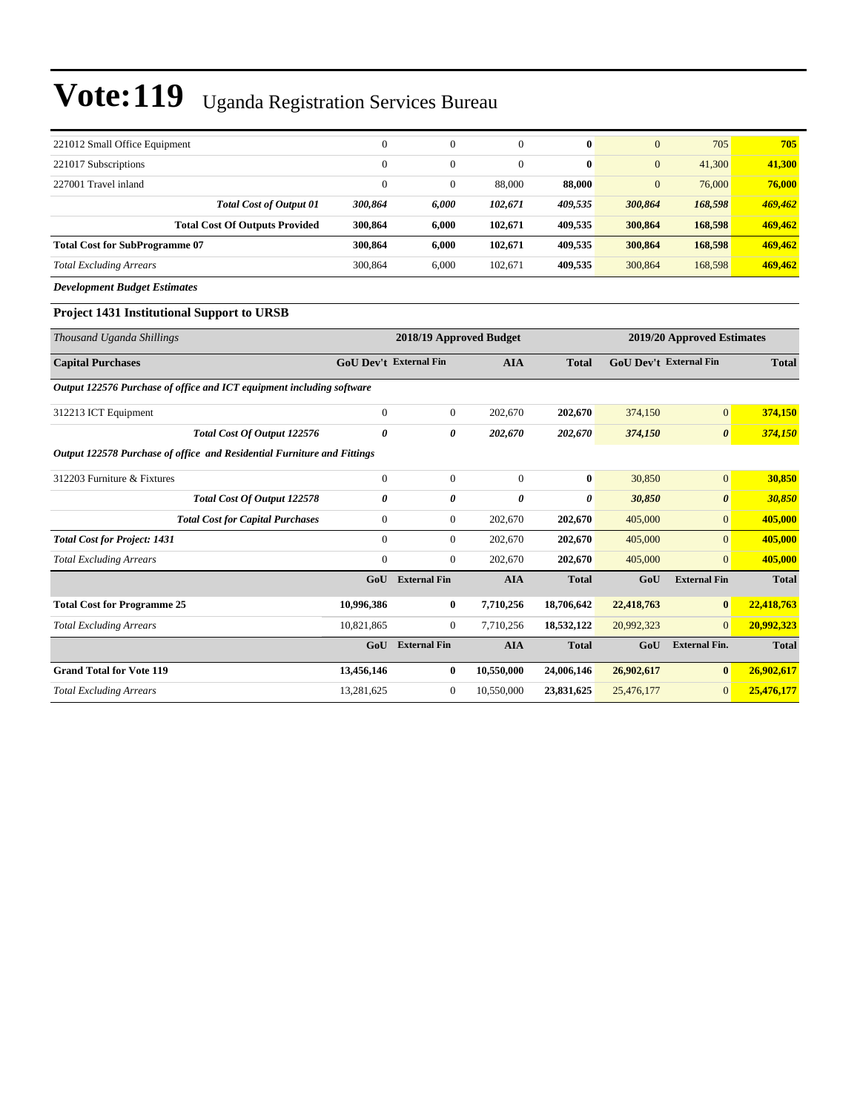| 221012 Small Office Equipment         | $\theta$ | $\mathbf{0}$ | 0       | $\mathbf{0}$ | $\mathbf{0}$ | 705     | 705     |
|---------------------------------------|----------|--------------|---------|--------------|--------------|---------|---------|
| 221017 Subscriptions                  | $\Omega$ | $\mathbf{0}$ | 0       | $\mathbf{0}$ | $\mathbf{0}$ | 41,300  | 41,300  |
| 227001 Travel inland                  |          | $\mathbf{0}$ | 88,000  | 88,000       | $\mathbf{0}$ | 76,000  | 76,000  |
| <b>Total Cost of Output 01</b>        | 300.864  | 6.000        | 102.671 | 409,535      | 300,864      | 168,598 | 469,462 |
| <b>Total Cost Of Outputs Provided</b> | 300.864  | 6.000        | 102.671 | 409.535      | 300,864      | 168.598 | 469,462 |
| <b>Total Cost for SubProgramme 07</b> | 300.864  | 6.000        | 102.671 | 409.535      | 300,864      | 168,598 | 469,462 |
| <b>Total Excluding Arrears</b>        | 300,864  | 6.000        | 102.671 | 409.535      | 300.864      | 168,598 | 469,462 |

*Development Budget Estimates*

### **Project 1431 Institutional Support to URSB**

| Thousand Uganda Shillings                                               |                               | 2018/19 Approved Budget |            |              |            | 2019/20 Approved Estimates    |              |
|-------------------------------------------------------------------------|-------------------------------|-------------------------|------------|--------------|------------|-------------------------------|--------------|
| <b>Capital Purchases</b>                                                | <b>GoU Dev't External Fin</b> |                         | <b>AIA</b> | <b>Total</b> |            | <b>GoU Dev't External Fin</b> | <b>Total</b> |
| Output 122576 Purchase of office and ICT equipment including software   |                               |                         |            |              |            |                               |              |
| 312213 ICT Equipment                                                    | $\mathbf{0}$                  | $\overline{0}$          | 202,670    | 202,670      | 374,150    | $\overline{0}$                | 374,150      |
| Total Cost Of Output 122576                                             | 0                             | 0                       | 202,670    | 202,670      | 374,150    | $\boldsymbol{\theta}$         | 374,150      |
| Output 122578 Purchase of office and Residential Furniture and Fittings |                               |                         |            |              |            |                               |              |
| 312203 Furniture & Fixtures                                             | $\overline{0}$                | $\overline{0}$          | $\Omega$   | $\mathbf{0}$ | 30,850     | $\mathbf{0}$                  | 30,850       |
| Total Cost Of Output 122578                                             | 0                             | 0                       | 0          | 0            | 30,850     | $\boldsymbol{\theta}$         | 30,850       |
| <b>Total Cost for Capital Purchases</b>                                 | 0                             | 0                       | 202,670    | 202,670      | 405,000    | $\overline{0}$                | 405,000      |
| <b>Total Cost for Project: 1431</b>                                     | $\overline{0}$                | $\overline{0}$          | 202,670    | 202,670      | 405,000    | $\overline{0}$                | 405,000      |
| <b>Total Excluding Arrears</b>                                          | $\overline{0}$                | $\boldsymbol{0}$        | 202,670    | 202,670      | 405,000    | $\Omega$                      | 405,000      |
|                                                                         | GoU                           | <b>External Fin</b>     | <b>AIA</b> | <b>Total</b> | GoU        | <b>External Fin</b>           | <b>Total</b> |
| <b>Total Cost for Programme 25</b>                                      | 10,996,386                    | 0                       | 7,710,256  | 18,706,642   | 22,418,763 | $\bf{0}$                      | 22,418,763   |
| <b>Total Excluding Arrears</b>                                          | 10,821,865                    | $\overline{0}$          | 7,710,256  | 18,532,122   | 20,992,323 | $\Omega$                      | 20,992,323   |
|                                                                         | GoU                           | <b>External Fin</b>     | <b>AIA</b> | <b>Total</b> | GoU        | <b>External Fin.</b>          | <b>Total</b> |
| <b>Grand Total for Vote 119</b>                                         | 13,456,146                    | 0                       | 10,550,000 | 24,006,146   | 26,902,617 | $\bf{0}$                      | 26,902,617   |
| <b>Total Excluding Arrears</b>                                          | 13,281,625                    | $\overline{0}$          | 10,550,000 | 23,831,625   | 25,476,177 | $\overline{0}$                | 25,476,177   |